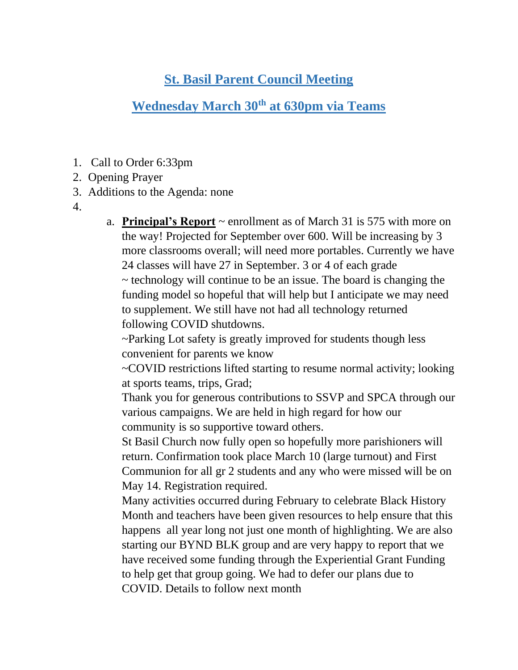## **St. Basil Parent Council Meeting**

# **Wednesday March 30th at 630pm via Teams**

- 1. Call to Order 6:33pm
- 2. Opening Prayer
- 3. Additions to the Agenda: none
- 4.

a. **Principal's Report** ~ enrollment as of March 31 is 575 with more on the way! Projected for September over 600. Will be increasing by 3 more classrooms overall; will need more portables. Currently we have 24 classes will have 27 in September. 3 or 4 of each grade ~ technology will continue to be an issue. The board is changing the funding model so hopeful that will help but I anticipate we may need to supplement. We still have not had all technology returned

following COVID shutdowns.

~Parking Lot safety is greatly improved for students though less convenient for parents we know

~COVID restrictions lifted starting to resume normal activity; looking at sports teams, trips, Grad;

Thank you for generous contributions to SSVP and SPCA through our various campaigns. We are held in high regard for how our community is so supportive toward others.

St Basil Church now fully open so hopefully more parishioners will return. Confirmation took place March 10 (large turnout) and First Communion for all gr 2 students and any who were missed will be on May 14. Registration required.

Many activities occurred during February to celebrate Black History Month and teachers have been given resources to help ensure that this happens all year long not just one month of highlighting. We are also starting our BYND BLK group and are very happy to report that we have received some funding through the Experiential Grant Funding to help get that group going. We had to defer our plans due to COVID. Details to follow next month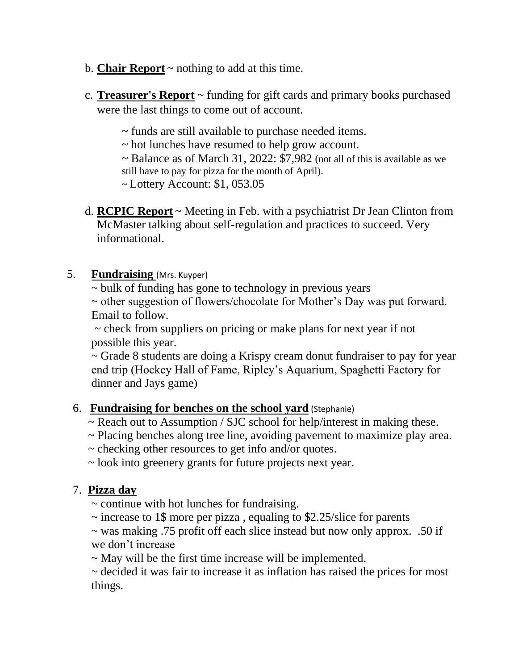- b. **Chair Report** ~ nothing to add at this time.
- c. **Treasurer's Report** ~ funding for gift cards and primary books purchased were the last things to come out of account.
	- ~ funds are still available to purchase needed items.
	- ~ hot lunches have resumed to help grow account.
	- $\sim$  Balance as of March 31, 2022: \$7,982 (not all of this is available as we still have to pay for pizza for the month of April).
	- ~ Lottery Account: \$1, 053.05
- d. **RCPIC Report** ~ Meeting in Feb. with a psychiatrist Dr Jean Clinton from McMaster talking about self-regulation and practices to succeed. Very informational.

#### 5. **Fundraising** (Mrs. Kuyper)

~ bulk of funding has gone to technology in previous years

~ other suggestion of flowers/chocolate for Mother's Day was put forward. Email to follow.

 $\sim$  check from suppliers on pricing or make plans for next year if not possible this year.

~ Grade 8 students are doing a Krispy cream donut fundraiser to pay for year end trip (Hockey Hall of Fame, Ripley's Aquarium, Spaghetti Factory for dinner and Jays game)

#### 6. **Fundraising for benches on the school yard** (Stephanie)

- ~ Reach out to Assumption / SJC school for help/interest in making these.
- ~ Placing benches along tree line, avoiding pavement to maximize play area.
- ~ checking other resources to get info and/or quotes.
- ~ look into greenery grants for future projects next year.

### 7. **Pizza day**

 $\sim$  continue with hot lunches for fundraising.

 $\sim$  increase to 1\$ more per pizza, equaling to \$2.25/slice for parents

~ was making .75 profit off each slice instead but now only approx. .50 if we don't increase

~ May will be the first time increase will be implemented.

~ decided it was fair to increase it as inflation has raised the prices for most things.